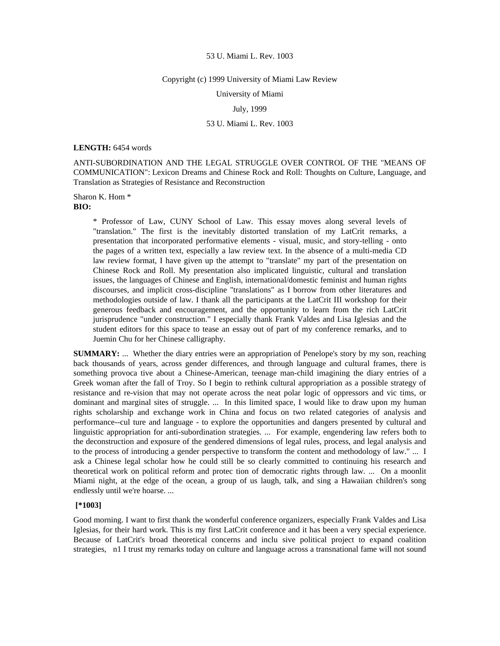#### Copyright (c) 1999 University of Miami Law Review

University of Miami

# July, 1999

# 53 U. Miami L. Rev. 1003

#### **LENGTH:** 6454 words

ANTI-SUBORDINATION AND THE LEGAL STRUGGLE OVER CONTROL OF THE "MEANS OF COMMUNICATION": Lexicon Dreams and Chinese Rock and Roll: Thoughts on Culture, Language, and Translation as Strategies of Resistance and Reconstruction

Sharon K. Hom \* **BIO:** 

> \* Professor of Law, CUNY School of Law. This essay moves along several levels of "translation." The first is the inevitably distorted translation of my LatCrit remarks, a presentation that incorporated performative elements - visual, music, and story-telling - onto the pages of a written text, especially a law review text. In the absence of a multi-media CD law review format, I have given up the attempt to "translate" my part of the presentation on Chinese Rock and Roll. My presentation also implicated linguistic, cultural and translation issues, the languages of Chinese and English, international/domestic feminist and human rights discourses, and implicit cross-discipline "translations" as I borrow from other literatures and methodologies outside of law. I thank all the participants at the LatCrit III workshop for their generous feedback and encouragement, and the opportunity to learn from the rich LatCrit jurisprudence "under construction." I especially thank Frank Valdes and Lisa Iglesias and the student editors for this space to tease an essay out of part of my conference remarks, and to Juemin Chu for her Chinese calligraphy.

**SUMMARY:** ... Whether the diary entries were an appropriation of Penelope's story by my son, reaching back thousands of years, across gender differences, and through language and cultural frames, there is something provoca tive about a Chinese-American, teenage man-child imagining the diary entries of a Greek woman after the fall of Troy. So I begin to rethink cultural appropriation as a possible strategy of resistance and re-vision that may not operate across the neat polar logic of oppressors and vic tims, or dominant and marginal sites of struggle. ... In this limited space, I would like to draw upon my human rights scholarship and exchange work in China and focus on two related categories of analysis and performance--cul ture and language - to explore the opportunities and dangers presented by cultural and linguistic appropriation for anti-subordination strategies. ... For example, engendering law refers both to the deconstruction and exposure of the gendered dimensions of legal rules, process, and legal analysis and to the process of introducing a gender perspective to transform the content and methodology of law." ... I ask a Chinese legal scholar how he could still be so clearly committed to continuing his research and theoretical work on political reform and protec tion of democratic rights through law. ... On a moonlit Miami night, at the edge of the ocean, a group of us laugh, talk, and sing a Hawaiian children's song endlessly until we're hoarse. ...

# **[\*1003]**

Good morning. I want to first thank the wonderful conference organizers, especially Frank Valdes and Lisa Iglesias, for their hard work. This is my first LatCrit conference and it has been a very special experience. Because of LatCrit's broad theoretical concerns and inclu sive political project to expand coalition strategies, n1 I trust my remarks today on culture and language across a transnational fame will not sound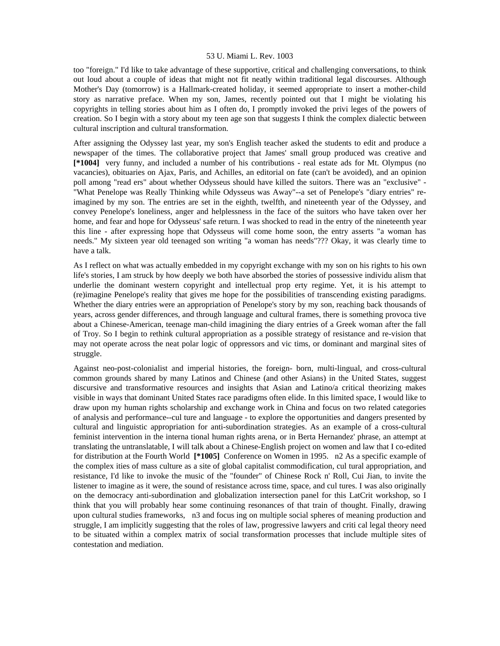too "foreign." I'd like to take advantage of these supportive, critical and challenging conversations, to think out loud about a couple of ideas that might not fit neatly within traditional legal discourses. Although Mother's Day (tomorrow) is a Hallmark-created holiday, it seemed appropriate to insert a mother-child story as narrative preface. When my son, James, recently pointed out that I might be violating his copyrights in telling stories about him as I often do, I promptly invoked the privi leges of the powers of creation. So I begin with a story about my teen age son that suggests I think the complex dialectic between cultural inscription and cultural transformation.

After assigning the Odyssey last year, my son's English teacher asked the students to edit and produce a newspaper of the times. The collaborative project that James' small group produced was creative and **[\*1004]** very funny, and included a number of his contributions - real estate ads for Mt. Olympus (no vacancies), obituaries on Ajax, Paris, and Achilles, an editorial on fate (can't be avoided), and an opinion poll among "read ers" about whether Odysseus should have killed the suitors. There was an "exclusive" - "What Penelope was Really Thinking while Odysseus was Away"--a set of Penelope's "diary entries" reimagined by my son. The entries are set in the eighth, twelfth, and nineteenth year of the Odyssey, and convey Penelope's loneliness, anger and helplessness in the face of the suitors who have taken over her home, and fear and hope for Odysseus' safe return. I was shocked to read in the entry of the nineteenth year this line - after expressing hope that Odysseus will come home soon, the entry asserts "a woman has needs." My sixteen year old teenaged son writing "a woman has needs"??? Okay, it was clearly time to have a talk.

As I reflect on what was actually embedded in my copyright exchange with my son on his rights to his own life's stories, I am struck by how deeply we both have absorbed the stories of possessive individu alism that underlie the dominant western copyright and intellectual prop erty regime. Yet, it is his attempt to (re)imagine Penelope's reality that gives me hope for the possibilities of transcending existing paradigms. Whether the diary entries were an appropriation of Penelope's story by my son, reaching back thousands of years, across gender differences, and through language and cultural frames, there is something provoca tive about a Chinese-American, teenage man-child imagining the diary entries of a Greek woman after the fall of Troy. So I begin to rethink cultural appropriation as a possible strategy of resistance and re-vision that may not operate across the neat polar logic of oppressors and vic tims, or dominant and marginal sites of struggle.

Against neo-post-colonialist and imperial histories, the foreign- born, multi-lingual, and cross-cultural common grounds shared by many Latinos and Chinese (and other Asians) in the United States, suggest discursive and transformative resources and insights that Asian and Latino/a critical theorizing makes visible in ways that dominant United States race paradigms often elide. In this limited space, I would like to draw upon my human rights scholarship and exchange work in China and focus on two related categories of analysis and performance--cul ture and language - to explore the opportunities and dangers presented by cultural and linguistic appropriation for anti-subordination strategies. As an example of a cross-cultural feminist intervention in the interna tional human rights arena, or in Berta Hernandez' phrase, an attempt at translating the untranslatable, I will talk about a Chinese-English project on women and law that I co-edited for distribution at the Fourth World **[\*1005]** Conference on Women in 1995. n2 As a specific example of the complex ities of mass culture as a site of global capitalist commodification, cul tural appropriation, and resistance, I'd like to invoke the music of the "founder" of Chinese Rock n' Roll, Cui Jian, to invite the listener to imagine as it were, the sound of resistance across time, space, and cul tures. I was also originally on the democracy anti-subordination and globalization intersection panel for this LatCrit workshop, so I think that you will probably hear some continuing resonances of that train of thought. Finally, drawing upon cultural studies frameworks, n3 and focus ing on multiple social spheres of meaning production and struggle, I am implicitly suggesting that the roles of law, progressive lawyers and criti cal legal theory need to be situated within a complex matrix of social transformation processes that include multiple sites of contestation and mediation.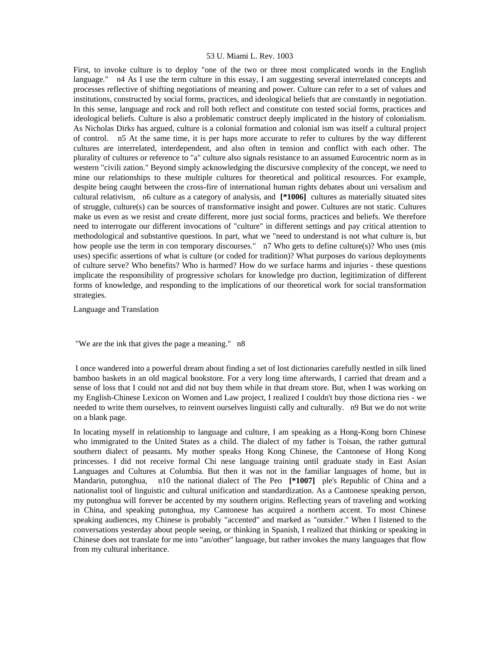First, to invoke culture is to deploy "one of the two or three most complicated words in the English language." n4 As I use the term culture in this essay, I am suggesting several interrelated concepts and processes reflective of shifting negotiations of meaning and power. Culture can refer to a set of values and institutions, constructed by social forms, practices, and ideological beliefs that are constantly in negotiation. In this sense, language and rock and roll both reflect and constitute con tested social forms, practices and ideological beliefs. Culture is also a problematic construct deeply implicated in the history of colonialism. As Nicholas Dirks has argued, culture is a colonial formation and colonial ism was itself a cultural project of control. n5 At the same time, it is per haps more accurate to refer to cultures by the way different cultures are interrelated, interdependent, and also often in tension and conflict with each other. The plurality of cultures or reference to "a" culture also signals resistance to an assumed Eurocentric norm as in western "civili zation." Beyond simply acknowledging the discursive complexity of the concept, we need to mine our relationships to these multiple cultures for theoretical and political resources. For example, despite being caught between the cross-fire of international human rights debates about uni versalism and cultural relativism, n6 culture as a category of analysis, and **[\*1006]** cultures as materially situated sites of struggle, culture(s) can be sources of transformative insight and power. Cultures are not static. Cultures make us even as we resist and create different, more just social forms, practices and beliefs. We therefore need to interrogate our different invocations of "culture" in different settings and pay critical attention to methodological and substantive questions. In part, what we "need to understand is not what culture is, but how people use the term in con temporary discourses." n7 Who gets to define culture(s)? Who uses (mis uses) specific assertions of what is culture (or coded for tradition)? What purposes do various deployments of culture serve? Who benefits? Who is harmed? How do we surface harms and injuries - these questions implicate the responsibility of progressive scholars for knowledge pro duction, legitimization of different forms of knowledge, and responding to the implications of our theoretical work for social transformation strategies.

Language and Translation

"We are the ink that gives the page a meaning." n8

 I once wandered into a powerful dream about finding a set of lost dictionaries carefully nestled in silk lined bamboo baskets in an old magical bookstore. For a very long time afterwards, I carried that dream and a sense of loss that I could not and did not buy them while in that dream store. But, when I was working on my English-Chinese Lexicon on Women and Law project, I realized I couldn't buy those dictiona ries - we needed to write them ourselves, to reinvent ourselves linguisti cally and culturally. n9 But we do not write on a blank page.

In locating myself in relationship to language and culture, I am speaking as a Hong-Kong born Chinese who immigrated to the United States as a child. The dialect of my father is Toisan, the rather guttural southern dialect of peasants. My mother speaks Hong Kong Chinese, the Cantonese of Hong Kong princesses. I did not receive formal Chi nese language training until graduate study in East Asian Languages and Cultures at Columbia. But then it was not in the familiar languages of home, but in Mandarin, putonghua, n10 the national dialect of The Peo **[\*1007]** ple's Republic of China and a nationalist tool of linguistic and cultural unification and standardization. As a Cantonese speaking person, my putonghua will forever be accented by my southern origins. Reflecting years of traveling and working in China, and speaking putonghua, my Cantonese has acquired a northern accent. To most Chinese speaking audiences, my Chinese is probably "accented" and marked as "outsider." When I listened to the conversations yesterday about people seeing, or thinking in Spanish, I realized that thinking or speaking in Chinese does not translate for me into "an/other" language, but rather invokes the many languages that flow from my cultural inheritance.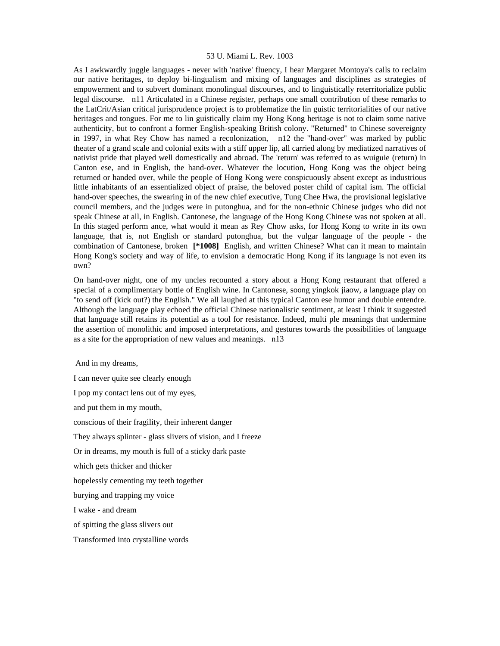As I awkwardly juggle languages - never with 'native' fluency, I hear Margaret Montoya's calls to reclaim our native heritages, to deploy bi-lingualism and mixing of languages and disciplines as strategies of empowerment and to subvert dominant monolingual discourses, and to linguistically reterritorialize public legal discourse. n11 Articulated in a Chinese register, perhaps one small contribution of these remarks to the LatCrit/Asian critical jurisprudence project is to problematize the lin guistic territorialities of our native heritages and tongues. For me to lin guistically claim my Hong Kong heritage is not to claim some native authenticity, but to confront a former English-speaking British colony. "Returned" to Chinese sovereignty in 1997, in what Rey Chow has named a recolonization, n12 the "hand-over" was marked by public theater of a grand scale and colonial exits with a stiff upper lip, all carried along by mediatized narratives of nativist pride that played well domestically and abroad. The 'return' was referred to as wuiguie (return) in Canton ese, and in English, the hand-over. Whatever the locution, Hong Kong was the object being returned or handed over, while the people of Hong Kong were conspicuously absent except as industrious little inhabitants of an essentialized object of praise, the beloved poster child of capital ism. The official hand-over speeches, the swearing in of the new chief executive, Tung Chee Hwa, the provisional legislative council members, and the judges were in putonghua, and for the non-ethnic Chinese judges who did not speak Chinese at all, in English. Cantonese, the language of the Hong Kong Chinese was not spoken at all. In this staged perform ance, what would it mean as Rey Chow asks, for Hong Kong to write in its own language, that is, not English or standard putonghua, but the vulgar language of the people - the combination of Cantonese, broken **[\*1008]** English, and written Chinese? What can it mean to maintain Hong Kong's society and way of life, to envision a democratic Hong Kong if its language is not even its own?

On hand-over night, one of my uncles recounted a story about a Hong Kong restaurant that offered a special of a complimentary bottle of English wine. In Cantonese, soong yingkok jiaow, a language play on "to send off (kick out?) the English." We all laughed at this typical Canton ese humor and double entendre. Although the language play echoed the official Chinese nationalistic sentiment, at least I think it suggested that language still retains its potential as a tool for resistance. Indeed, multi ple meanings that undermine the assertion of monolithic and imposed interpretations, and gestures towards the possibilities of language as a site for the appropriation of new values and meanings. n13

And in my dreams,

I can never quite see clearly enough I pop my contact lens out of my eyes, and put them in my mouth, conscious of their fragility, their inherent danger They always splinter - glass slivers of vision, and I freeze Or in dreams, my mouth is full of a sticky dark paste which gets thicker and thicker hopelessly cementing my teeth together burying and trapping my voice I wake - and dream of spitting the glass slivers out

Transformed into crystalline words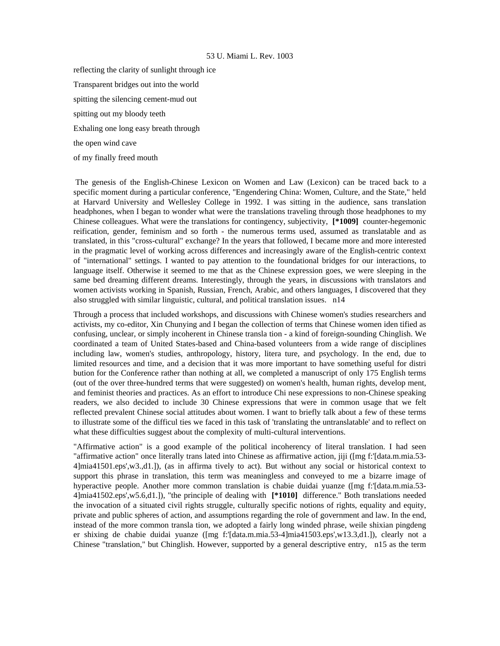reflecting the clarity of sunlight through ice Transparent bridges out into the world spitting the silencing cement-mud out spitting out my bloody teeth Exhaling one long easy breath through the open wind cave of my finally freed mouth

 The genesis of the English-Chinese Lexicon on Women and Law (Lexicon) can be traced back to a specific moment during a particular conference, "Engendering China: Women, Culture, and the State," held at Harvard University and Wellesley College in 1992. I was sitting in the audience, sans translation headphones, when I began to wonder what were the translations traveling through those headphones to my Chinese colleagues. What were the translations for contingency, subjectivity, **[\*1009]** counter-hegemonic reification, gender, feminism and so forth - the numerous terms used, assumed as translatable and as translated, in this "cross-cultural" exchange? In the years that followed, I became more and more interested in the pragmatic level of working across differences and increasingly aware of the English-centric context of "international" settings. I wanted to pay attention to the foundational bridges for our interactions, to language itself. Otherwise it seemed to me that as the Chinese expression goes, we were sleeping in the same bed dreaming different dreams. Interestingly, through the years, in discussions with translators and women activists working in Spanish, Russian, French, Arabic, and others languages, I discovered that they also struggled with similar linguistic, cultural, and political translation issues. n14

Through a process that included workshops, and discussions with Chinese women's studies researchers and activists, my co-editor, Xin Chunying and I began the collection of terms that Chinese women iden tified as confusing, unclear, or simply incoherent in Chinese transla tion - a kind of foreign-sounding Chinglish. We coordinated a team of United States-based and China-based volunteers from a wide range of disciplines including law, women's studies, anthropology, history, litera ture, and psychology. In the end, due to limited resources and time, and a decision that it was more important to have something useful for distri bution for the Conference rather than nothing at all, we completed a manuscript of only 175 English terms (out of the over three-hundred terms that were suggested) on women's health, human rights, develop ment, and feminist theories and practices. As an effort to introduce Chi nese expressions to non-Chinese speaking readers, we also decided to include 30 Chinese expressions that were in common usage that we felt reflected prevalent Chinese social attitudes about women. I want to briefly talk about a few of these terms to illustrate some of the difficul ties we faced in this task of 'translating the untranslatable' and to reflect on what these difficulties suggest about the complexity of multi-cultural interventions.

"Affirmative action" is a good example of the political incoherency of literal translation. I had seen "affirmative action" once literally trans lated into Chinese as affirmative action, jiji ([mg f:'[data.m.mia.53- 4]mia41501.eps',w3.,d1.]), (as in affirma tively to act). But without any social or historical context to support this phrase in translation, this term was meaningless and conveyed to me a bizarre image of hyperactive people. Another more common translation is chabie duidai yuanze ([mg f:'[data.m.mia.53- 4]mia41502.eps',w5.6,d1.]), "the principle of dealing with **[\*1010]** difference." Both translations needed the invocation of a situated civil rights struggle, culturally specific notions of rights, equality and equity, private and public spheres of action, and assumptions regarding the role of government and law. In the end, instead of the more common transla tion, we adopted a fairly long winded phrase, weile shixian pingdeng er shixing de chabie duidai yuanze ([mg f:'[data.m.mia.53-4]mia41503.eps',w13.3,d1.]), clearly not a Chinese "translation," but Chinglish. However, supported by a general descriptive entry, n15 as the term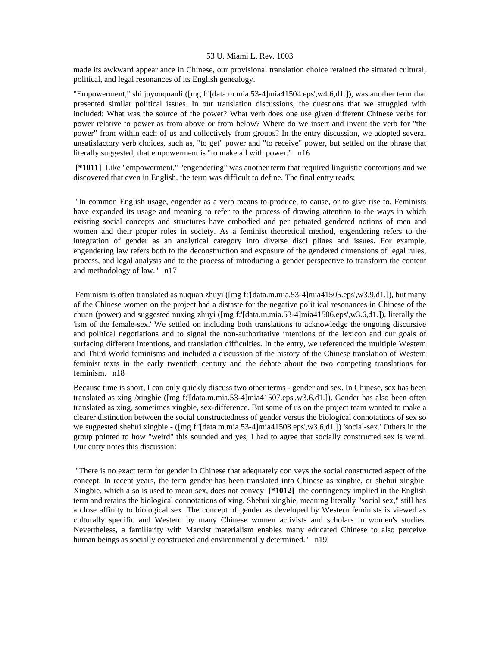made its awkward appear ance in Chinese, our provisional translation choice retained the situated cultural, political, and legal resonances of its English genealogy.

"Empowerment," shi juyouquanli ([mg f:'[data.m.mia.53-4]mia41504.eps',w4.6,d1.]), was another term that presented similar political issues. In our translation discussions, the questions that we struggled with included: What was the source of the power? What verb does one use given different Chinese verbs for power relative to power as from above or from below? Where do we insert and invent the verb for "the power" from within each of us and collectively from groups? In the entry discussion, we adopted several unsatisfactory verb choices, such as, "to get" power and "to receive" power, but settled on the phrase that literally suggested, that empowerment is "to make all with power." n16

 **[\*1011]** Like "empowerment," "engendering" was another term that required linguistic contortions and we discovered that even in English, the term was difficult to define. The final entry reads:

 "In common English usage, engender as a verb means to produce, to cause, or to give rise to. Feminists have expanded its usage and meaning to refer to the process of drawing attention to the ways in which existing social concepts and structures have embodied and per petuated gendered notions of men and women and their proper roles in society. As a feminist theoretical method, engendering refers to the integration of gender as an analytical category into diverse disci plines and issues. For example, engendering law refers both to the deconstruction and exposure of the gendered dimensions of legal rules, process, and legal analysis and to the process of introducing a gender perspective to transform the content and methodology of law." n17

 Feminism is often translated as nuquan zhuyi ([mg f:'[data.m.mia.53-4]mia41505.eps',w3.9,d1.]), but many of the Chinese women on the project had a distaste for the negative polit ical resonances in Chinese of the chuan (power) and suggested nuxing zhuyi ([mg f:'[data.m.mia.53-4]mia41506.eps',w3.6,d1.]), literally the 'ism of the female-sex.' We settled on including both translations to acknowledge the ongoing discursive and political negotiations and to signal the non-authoritative intentions of the lexicon and our goals of surfacing different intentions, and translation difficulties. In the entry, we referenced the multiple Western and Third World feminisms and included a discussion of the history of the Chinese translation of Western feminist texts in the early twentieth century and the debate about the two competing translations for feminism. n18

Because time is short, I can only quickly discuss two other terms - gender and sex. In Chinese, sex has been translated as xing /xingbie ([mg f:'[data.m.mia.53-4]mia41507.eps',w3.6,d1.]). Gender has also been often translated as xing, sometimes xingbie, sex-difference. But some of us on the project team wanted to make a clearer distinction between the social constructedness of gender versus the biological connotations of sex so we suggested shehui xingbie - ([mg f:'[data.m.mia.53-4]mia41508.eps',w3.6,d1.]) 'social-sex.' Others in the group pointed to how "weird" this sounded and yes, I had to agree that socially constructed sex is weird. Our entry notes this discussion:

 "There is no exact term for gender in Chinese that adequately con veys the social constructed aspect of the concept. In recent years, the term gender has been translated into Chinese as xingbie, or shehui xingbie. Xingbie, which also is used to mean sex, does not convey **[\*1012]** the contingency implied in the English term and retains the biological connotations of xing. Shehui xingbie, meaning literally "social sex," still has a close affinity to biological sex. The concept of gender as developed by Western feminists is viewed as culturally specific and Western by many Chinese women activists and scholars in women's studies. Nevertheless, a familiarity with Marxist materialism enables many educated Chinese to also perceive human beings as socially constructed and environmentally determined." n19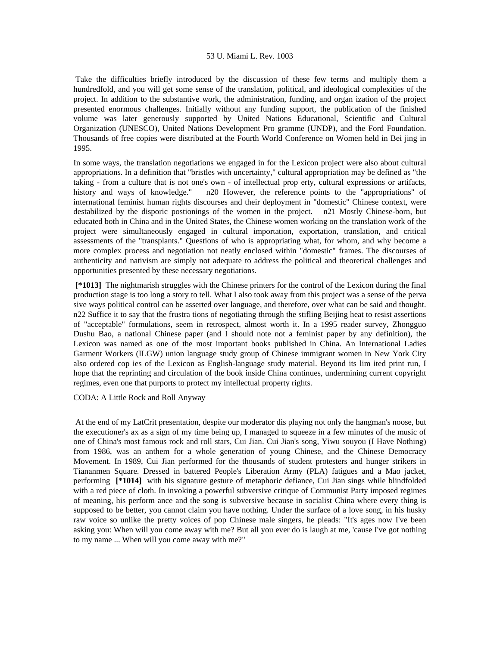Take the difficulties briefly introduced by the discussion of these few terms and multiply them a hundredfold, and you will get some sense of the translation, political, and ideological complexities of the project. In addition to the substantive work, the administration, funding, and organ ization of the project presented enormous challenges. Initially without any funding support, the publication of the finished volume was later generously supported by United Nations Educational, Scientific and Cultural Organization (UNESCO), United Nations Development Pro gramme (UNDP), and the Ford Foundation. Thousands of free copies were distributed at the Fourth World Conference on Women held in Bei jing in 1995.

In some ways, the translation negotiations we engaged in for the Lexicon project were also about cultural appropriations. In a definition that "bristles with uncertainty," cultural appropriation may be defined as "the taking - from a culture that is not one's own - of intellectual prop erty, cultural expressions or artifacts, history and ways of knowledge." n20 However, the reference points to the "appropriations" of international feminist human rights discourses and their deployment in "domestic" Chinese context, were destabilized by the disporic postionings of the women in the project. n21 Mostly Chinese-born, but educated both in China and in the United States, the Chinese women working on the translation work of the project were simultaneously engaged in cultural importation, exportation, translation, and critical assessments of the "transplants." Questions of who is appropriating what, for whom, and why become a more complex process and negotiation not neatly enclosed within "domestic" frames. The discourses of authenticity and nativism are simply not adequate to address the political and theoretical challenges and opportunities presented by these necessary negotiations.

 **[\*1013]** The nightmarish struggles with the Chinese printers for the control of the Lexicon during the final production stage is too long a story to tell. What I also took away from this project was a sense of the perva sive ways political control can be asserted over language, and therefore, over what can be said and thought. n22 Suffice it to say that the frustra tions of negotiating through the stifling Beijing heat to resist assertions of "acceptable" formulations, seem in retrospect, almost worth it. In a 1995 reader survey, Zhongguo Dushu Bao, a national Chinese paper (and I should note not a feminist paper by any definition), the Lexicon was named as one of the most important books published in China. An International Ladies Garment Workers (ILGW) union language study group of Chinese immigrant women in New York City also ordered cop ies of the Lexicon as English-language study material. Beyond its lim ited print run, I hope that the reprinting and circulation of the book inside China continues, undermining current copyright regimes, even one that purports to protect my intellectual property rights.

CODA: A Little Rock and Roll Anyway

 At the end of my LatCrit presentation, despite our moderator dis playing not only the hangman's noose, but the executioner's ax as a sign of my time being up, I managed to squeeze in a few minutes of the music of one of China's most famous rock and roll stars, Cui Jian. Cui Jian's song, Yiwu souyou (I Have Nothing) from 1986, was an anthem for a whole generation of young Chinese, and the Chinese Democracy Movement. In 1989, Cui Jian performed for the thousands of student protesters and hunger strikers in Tiananmen Square. Dressed in battered People's Liberation Army (PLA) fatigues and a Mao jacket, performing **[\*1014]** with his signature gesture of metaphoric defiance, Cui Jian sings while blindfolded with a red piece of cloth. In invoking a powerful subversive critique of Communist Party imposed regimes of meaning, his perform ance and the song is subversive because in socialist China where every thing is supposed to be better, you cannot claim you have nothing. Under the surface of a love song, in his husky raw voice so unlike the pretty voices of pop Chinese male singers, he pleads: "It's ages now I've been asking you: When will you come away with me? But all you ever do is laugh at me, 'cause I've got nothing to my name ... When will you come away with me?"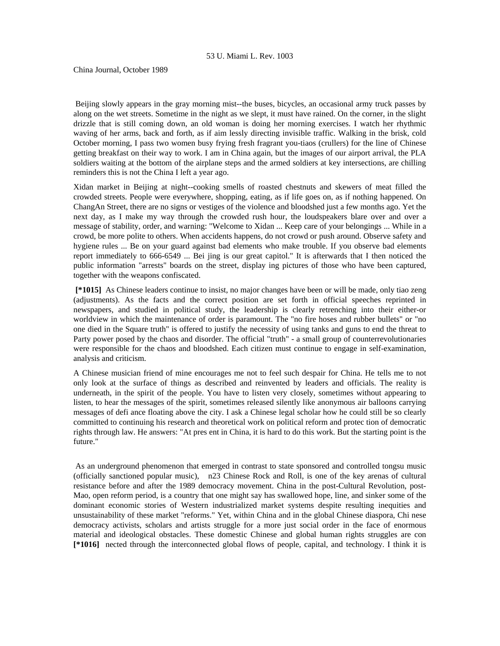China Journal, October 1989

 Beijing slowly appears in the gray morning mist--the buses, bicycles, an occasional army truck passes by along on the wet streets. Sometime in the night as we slept, it must have rained. On the corner, in the slight drizzle that is still coming down, an old woman is doing her morning exercises. I watch her rhythmic waving of her arms, back and forth, as if aim lessly directing invisible traffic. Walking in the brisk, cold October morning, I pass two women busy frying fresh fragrant you-tiaos (crullers) for the line of Chinese getting breakfast on their way to work. I am in China again, but the images of our airport arrival, the PLA soldiers waiting at the bottom of the airplane steps and the armed soldiers at key intersections, are chilling reminders this is not the China I left a year ago.

Xidan market in Beijing at night--cooking smells of roasted chestnuts and skewers of meat filled the crowded streets. People were everywhere, shopping, eating, as if life goes on, as if nothing happened. On ChangAn Street, there are no signs or vestiges of the violence and bloodshed just a few months ago. Yet the next day, as I make my way through the crowded rush hour, the loudspeakers blare over and over a message of stability, order, and warning: "Welcome to Xidan ... Keep care of your belongings ... While in a crowd, be more polite to others. When accidents happens, do not crowd or push around. Observe safety and hygiene rules ... Be on your guard against bad elements who make trouble. If you observe bad elements report immediately to 666-6549 ... Bei jing is our great capitol." It is afterwards that I then noticed the public information "arrests" boards on the street, display ing pictures of those who have been captured, together with the weapons confiscated.

 **[\*1015]** As Chinese leaders continue to insist, no major changes have been or will be made, only tiao zeng (adjustments). As the facts and the correct position are set forth in official speeches reprinted in newspapers, and studied in political study, the leadership is clearly retrenching into their either-or worldview in which the maintenance of order is paramount. The "no fire hoses and rubber bullets" or "no one died in the Square truth" is offered to justify the necessity of using tanks and guns to end the threat to Party power posed by the chaos and disorder. The official "truth" - a small group of counterrevolutionaries were responsible for the chaos and bloodshed. Each citizen must continue to engage in self-examination, analysis and criticism.

A Chinese musician friend of mine encourages me not to feel such despair for China. He tells me to not only look at the surface of things as described and reinvented by leaders and officials. The reality is underneath, in the spirit of the people. You have to listen very closely, sometimes without appearing to listen, to hear the messages of the spirit, sometimes released silently like anonymous air balloons carrying messages of defi ance floating above the city. I ask a Chinese legal scholar how he could still be so clearly committed to continuing his research and theoretical work on political reform and protec tion of democratic rights through law. He answers: "At pres ent in China, it is hard to do this work. But the starting point is the future."

 As an underground phenomenon that emerged in contrast to state sponsored and controlled tongsu music (officially sanctioned popular music), n23 Chinese Rock and Roll, is one of the key arenas of cultural resistance before and after the 1989 democracy movement. China in the post-Cultural Revolution, post-Mao, open reform period, is a country that one might say has swallowed hope, line, and sinker some of the dominant economic stories of Western industrialized market systems despite resulting inequities and unsustainability of these market "reforms." Yet, within China and in the global Chinese diaspora, Chi nese democracy activists, scholars and artists struggle for a more just social order in the face of enormous material and ideological obstacles. These domestic Chinese and global human rights struggles are con **[\*1016]** nected through the interconnected global flows of people, capital, and technology. I think it is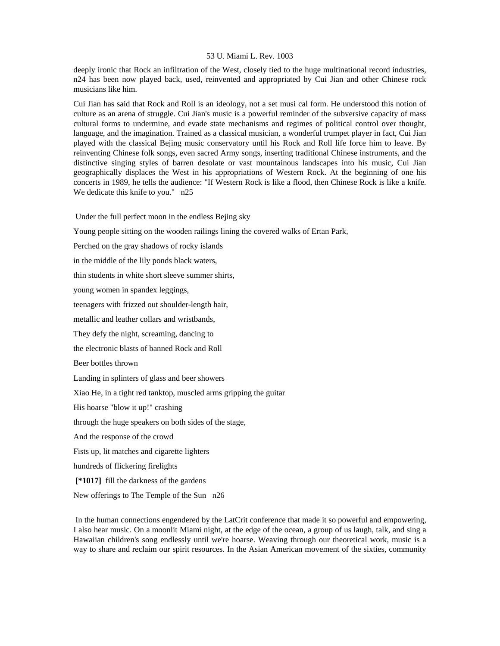deeply ironic that Rock an infiltration of the West, closely tied to the huge multinational record industries, n24 has been now played back, used, reinvented and appropriated by Cui Jian and other Chinese rock musicians like him.

Cui Jian has said that Rock and Roll is an ideology, not a set musi cal form. He understood this notion of culture as an arena of struggle. Cui Jian's music is a powerful reminder of the subversive capacity of mass cultural forms to undermine, and evade state mechanisms and regimes of political control over thought, language, and the imagination. Trained as a classical musician, a wonderful trumpet player in fact, Cui Jian played with the classical Bejing music conservatory until his Rock and Roll life force him to leave. By reinventing Chinese folk songs, even sacred Army songs, inserting traditional Chinese instruments, and the distinctive singing styles of barren desolate or vast mountainous landscapes into his music, Cui Jian geographically displaces the West in his appropriations of Western Rock. At the beginning of one his concerts in 1989, he tells the audience: "If Western Rock is like a flood, then Chinese Rock is like a knife. We dedicate this knife to you." n25

Under the full perfect moon in the endless Bejing sky

Young people sitting on the wooden railings lining the covered walks of Ertan Park,

Perched on the gray shadows of rocky islands

in the middle of the lily ponds black waters,

thin students in white short sleeve summer shirts,

young women in spandex leggings,

teenagers with frizzed out shoulder-length hair,

metallic and leather collars and wristbands,

They defy the night, screaming, dancing to

the electronic blasts of banned Rock and Roll

Beer bottles thrown

Landing in splinters of glass and beer showers

Xiao He, in a tight red tanktop, muscled arms gripping the guitar

His hoarse "blow it up!" crashing

through the huge speakers on both sides of the stage,

And the response of the crowd

Fists up, lit matches and cigarette lighters

hundreds of flickering firelights

 **[\*1017]** fill the darkness of the gardens

New offerings to The Temple of the Sun n26

 In the human connections engendered by the LatCrit conference that made it so powerful and empowering, I also hear music. On a moonlit Miami night, at the edge of the ocean, a group of us laugh, talk, and sing a Hawaiian children's song endlessly until we're hoarse. Weaving through our theoretical work, music is a way to share and reclaim our spirit resources. In the Asian American movement of the sixties, community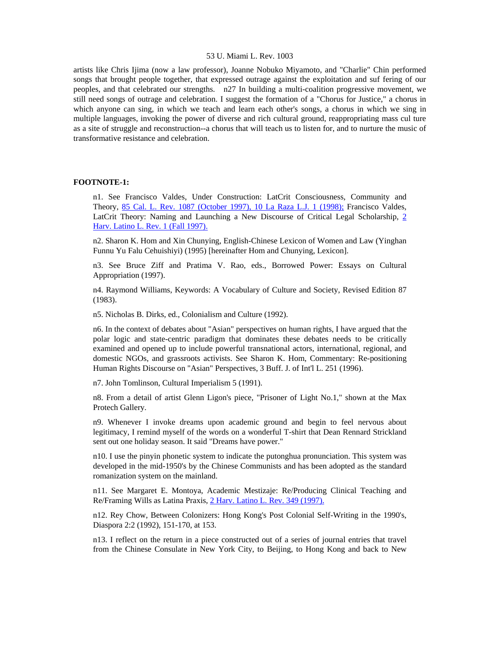artists like Chris Ijima (now a law professor), Joanne Nobuko Miyamoto, and "Charlie" Chin performed songs that brought people together, that expressed outrage against the exploitation and suf fering of our peoples, and that celebrated our strengths. n27 In building a multi-coalition progressive movement, we still need songs of outrage and celebration. I suggest the formation of a "Chorus for Justice," a chorus in which anyone can sing, in which we teach and learn each other's songs, a chorus in which we sing in multiple languages, invoking the power of diverse and rich cultural ground, reappropriating mass cul ture as a site of struggle and reconstruction--a chorus that will teach us to listen for, and to nurture the music of transformative resistance and celebration.

#### **FOOTNOTE-1:**

n1. See Francisco Valdes, Under Construction: LatCrit Consciousness, Community and Theory, [85 Cal. L. Rev. 1087 \(October 1997\), 10 La Raza L.J. 1 \(1998\);](http://www.lexis.com/research/xlink?searchtype=get&search=85%20Calif.%20L.%20Rev.%201087) Francisco Valdes, LatCrit Theory: Naming and Launching a New Discourse of Critical Legal Scholarship, [2](http://www.lexis.com/research/xlink?searchtype=get&search=2%20Harv.%20Latino%20L.%20Rev.%201)  [Harv. Latino L. Rev. 1 \(Fall 1997\).](http://www.lexis.com/research/xlink?searchtype=get&search=2%20Harv.%20Latino%20L.%20Rev.%201)

n2. Sharon K. Hom and Xin Chunying, English-Chinese Lexicon of Women and Law (Yinghan Funnu Yu Falu Cehuishiyi) (1995) [hereinafter Hom and Chunying, Lexicon].

n3. See Bruce Ziff and Pratima V. Rao, eds., Borrowed Power: Essays on Cultural Appropriation (1997).

n4. Raymond Williams, Keywords: A Vocabulary of Culture and Society, Revised Edition 87 (1983).

n5. Nicholas B. Dirks, ed., Colonialism and Culture (1992).

n6. In the context of debates about "Asian" perspectives on human rights, I have argued that the polar logic and state-centric paradigm that dominates these debates needs to be critically examined and opened up to include powerful transnational actors, international, regional, and domestic NGOs, and grassroots activists. See Sharon K. Hom, Commentary: Re-positioning Human Rights Discourse on "Asian" Perspectives, 3 Buff. J. of Int'l L. 251 (1996).

n7. John Tomlinson, Cultural Imperialism 5 (1991).

n8. From a detail of artist Glenn Ligon's piece, "Prisoner of Light No.1," shown at the Max Protech Gallery.

n9. Whenever I invoke dreams upon academic ground and begin to feel nervous about legitimacy, I remind myself of the words on a wonderful T-shirt that Dean Rennard Strickland sent out one holiday season. It said "Dreams have power."

n10. I use the pinyin phonetic system to indicate the putonghua pronunciation. This system was developed in the mid-1950's by the Chinese Communists and has been adopted as the standard romanization system on the mainland.

n11. See Margaret E. Montoya, Academic Mestizaje: Re/Producing Clinical Teaching and Re/Framing Wills as Latina Praxis, [2 Harv. Latino L. Rev. 349 \(1997\).](http://www.lexis.com/research/xlink?searchtype=get&search=2%20Harv.%20Latino%20L.%20Rev.%20349)

n12. Rey Chow, Between Colonizers: Hong Kong's Post Colonial Self-Writing in the 1990's, Diaspora 2:2 (1992), 151-170, at 153.

n13. I reflect on the return in a piece constructed out of a series of journal entries that travel from the Chinese Consulate in New York City, to Beijing, to Hong Kong and back to New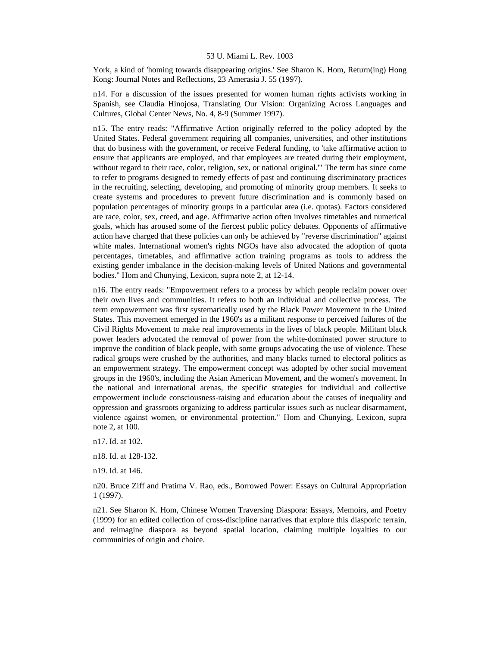York, a kind of 'homing towards disappearing origins.' See Sharon K. Hom, Return(ing) Hong Kong: Journal Notes and Reflections, 23 Amerasia J. 55 (1997).

n14. For a discussion of the issues presented for women human rights activists working in Spanish, see Claudia Hinojosa, Translating Our Vision: Organizing Across Languages and Cultures, Global Center News, No. 4, 8-9 (Summer 1997).

n15. The entry reads: "Affirmative Action originally referred to the policy adopted by the United States. Federal government requiring all companies, universities, and other institutions that do business with the government, or receive Federal funding, to 'take affirmative action to ensure that applicants are employed, and that employees are treated during their employment, without regard to their race, color, religion, sex, or national original.'" The term has since come to refer to programs designed to remedy effects of past and continuing discriminatory practices in the recruiting, selecting, developing, and promoting of minority group members. It seeks to create systems and procedures to prevent future discrimination and is commonly based on population percentages of minority groups in a particular area (i.e. quotas). Factors considered are race, color, sex, creed, and age. Affirmative action often involves timetables and numerical goals, which has aroused some of the fiercest public policy debates. Opponents of affirmative action have charged that these policies can only be achieved by "reverse discrimination" against white males. International women's rights NGOs have also advocated the adoption of quota percentages, timetables, and affirmative action training programs as tools to address the existing gender imbalance in the decision-making levels of United Nations and governmental bodies." Hom and Chunying, Lexicon, supra note 2, at 12-14.

n16. The entry reads: "Empowerment refers to a process by which people reclaim power over their own lives and communities. It refers to both an individual and collective process. The term empowerment was first systematically used by the Black Power Movement in the United States. This movement emerged in the 1960's as a militant response to perceived failures of the Civil Rights Movement to make real improvements in the lives of black people. Militant black power leaders advocated the removal of power from the white-dominated power structure to improve the condition of black people, with some groups advocating the use of violence. These radical groups were crushed by the authorities, and many blacks turned to electoral politics as an empowerment strategy. The empowerment concept was adopted by other social movement groups in the 1960's, including the Asian American Movement, and the women's movement. In the national and international arenas, the specific strategies for individual and collective empowerment include consciousness-raising and education about the causes of inequality and oppression and grassroots organizing to address particular issues such as nuclear disarmament, violence against women, or environmental protection." Hom and Chunying, Lexicon, supra note 2, at 100.

n17. Id. at 102.

n18. Id. at 128-132.

n19. Id. at 146.

n20. Bruce Ziff and Pratima V. Rao, eds., Borrowed Power: Essays on Cultural Appropriation 1 (1997).

n21. See Sharon K. Hom, Chinese Women Traversing Diaspora: Essays, Memoirs, and Poetry (1999) for an edited collection of cross-discipline narratives that explore this diasporic terrain, and reimagine diaspora as beyond spatial location, claiming multiple loyalties to our communities of origin and choice.